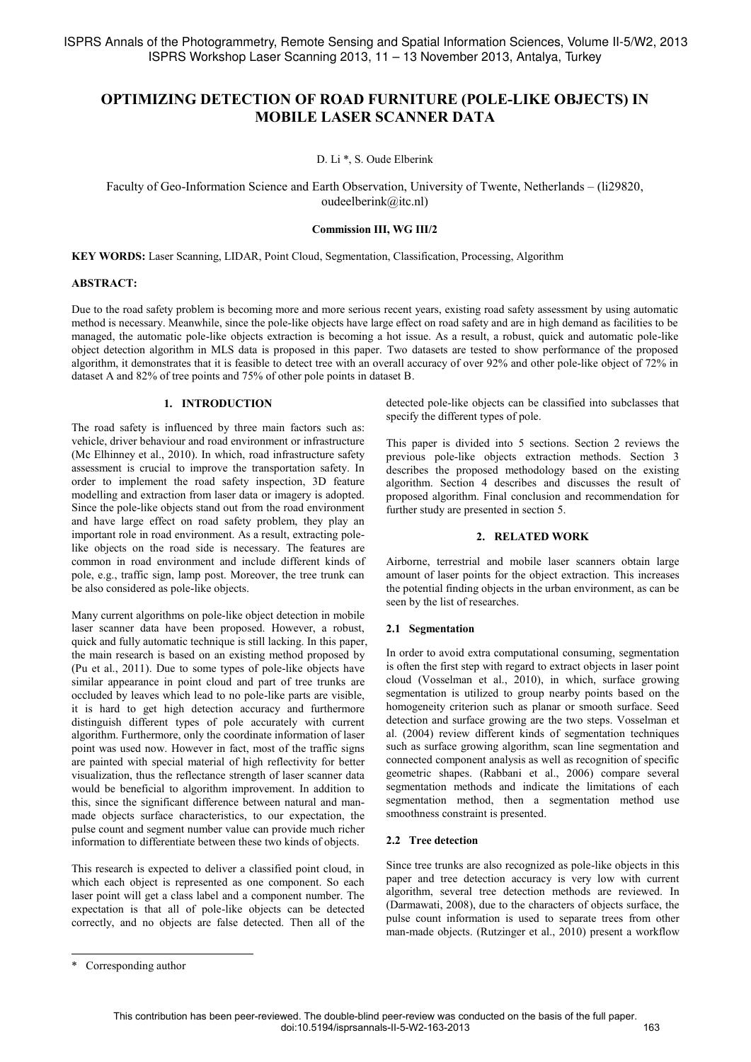# **OPTIMIZING DETECTION OF ROAD FURNITURE (POLE-LIKE OBJECTS) IN MOBILE LASER SCANNER DATA**

D. Li \*, S. Oude Elberink

Faculty of Geo-Information Science and Earth Observation, University of Twente, Netherlands – (li29820, oudeelberink@itc.nl)

#### **Commission III, WG III/2**

**KEY WORDS:** Laser Scanning, LIDAR, Point Cloud, Segmentation, Classification, Processing, Algorithm

#### **ABSTRACT:**

Due to the road safety problem is becoming more and more serious recent years, existing road safety assessment by using automatic method is necessary. Meanwhile, since the pole-like objects have large effect on road safety and are in high demand as facilities to be managed, the automatic pole-like objects extraction is becoming a hot issue. As a result, a robust, quick and automatic pole-like object detection algorithm in MLS data is proposed in this paper. Two datasets are tested to show performance of the proposed algorithm, it demonstrates that it is feasible to detect tree with an overall accuracy of over 92% and other pole-like object of 72% in dataset A and 82% of tree points and 75% of other pole points in dataset B.

### **1. INTRODUCTION**

The road safety is influenced by three main factors such as: vehicle, driver behaviour and road environment or infrastructure (Mc Elhinney et al., 2010). In which, road infrastructure safety assessment is crucial to improve the transportation safety. In order to implement the road safety inspection, 3D feature modelling and extraction from laser data or imagery is adopted. Since the pole-like objects stand out from the road environment and have large effect on road safety problem, they play an important role in road environment. As a result, extracting polelike objects on the road side is necessary. The features are common in road environment and include different kinds of pole, e.g., traffic sign, lamp post. Moreover, the tree trunk can be also considered as pole-like objects.

Many current algorithms on pole-like object detection in mobile laser scanner data have been proposed. However, a robust, quick and fully automatic technique is still lacking. In this paper, the main research is based on an existing method proposed by (Pu et al., 2011). Due to some types of pole-like objects have similar appearance in point cloud and part of tree trunks are occluded by leaves which lead to no pole-like parts are visible, it is hard to get high detection accuracy and furthermore distinguish different types of pole accurately with current algorithm. Furthermore, only the coordinate information of laser point was used now. However in fact, most of the traffic signs are painted with special material of high reflectivity for better visualization, thus the reflectance strength of laser scanner data would be beneficial to algorithm improvement. In addition to this, since the significant difference between natural and manmade objects surface characteristics, to our expectation, the pulse count and segment number value can provide much richer information to differentiate between these two kinds of objects.

This research is expected to deliver a classified point cloud, in which each object is represented as one component. So each laser point will get a class label and a component number. The expectation is that all of pole-like objects can be detected correctly, and no objects are false detected. Then all of the detected pole-like objects can be classified into subclasses that specify the different types of pole.

This paper is divided into 5 sections. Section 2 reviews the previous pole-like objects extraction methods. Section 3 describes the proposed methodology based on the existing algorithm. Section 4 describes and discusses the result of proposed algorithm. Final conclusion and recommendation for further study are presented in section 5.

#### **2. RELATED WORK**

Airborne, terrestrial and mobile laser scanners obtain large amount of laser points for the object extraction. This increases the potential finding objects in the urban environment, as can be seen by the list of researches.

### **2.1 Segmentation**

In order to avoid extra computational consuming, segmentation is often the first step with regard to extract objects in laser point cloud (Vosselman et al., 2010), in which, surface growing segmentation is utilized to group nearby points based on the homogeneity criterion such as planar or smooth surface. Seed detection and surface growing are the two steps. Vosselman et al. (2004) review different kinds of segmentation techniques such as surface growing algorithm, scan line segmentation and connected component analysis as well as recognition of specific geometric shapes. (Rabbani et al., 2006) compare several segmentation methods and indicate the limitations of each segmentation method, then a segmentation method use smoothness constraint is presented.

### **2.2 Tree detection**

Since tree trunks are also recognized as pole-like objects in this paper and tree detection accuracy is very low with current algorithm, several tree detection methods are reviewed. In (Darmawati, 2008), due to the characters of objects surface, the pulse count information is used to separate trees from other man-made objects. (Rutzinger et al., 2010) present a workflow

 $\overline{a}$ 

<sup>\*</sup> Corresponding author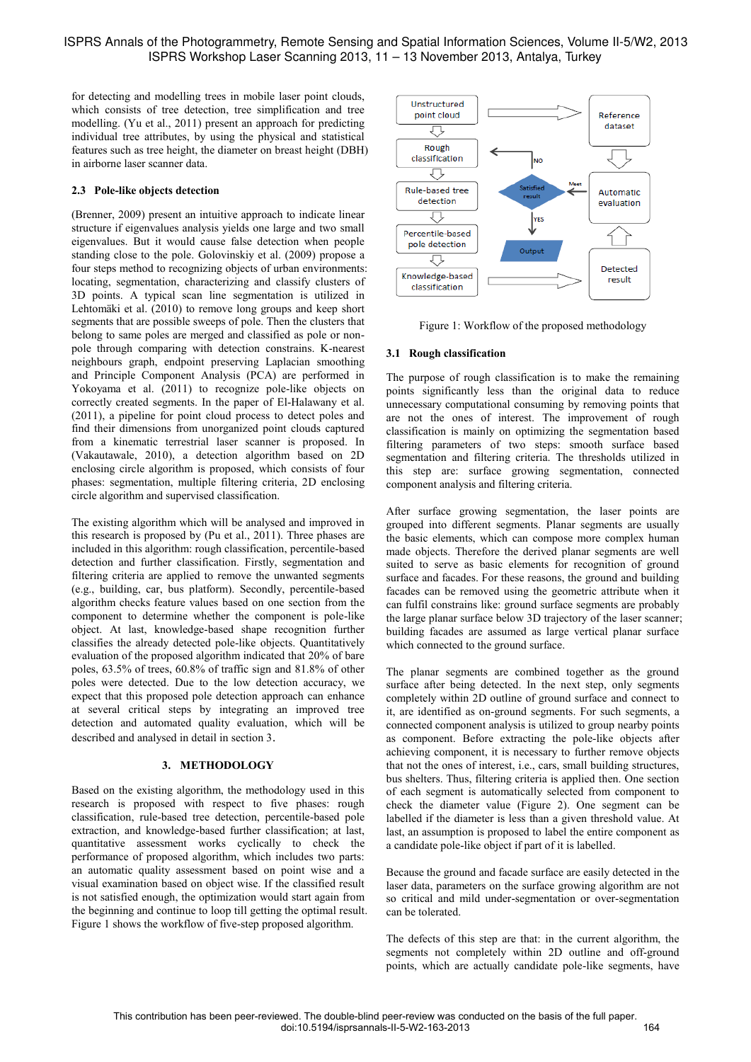for detecting and modelling trees in mobile laser point clouds, which consists of tree detection, tree simplification and tree modelling. (Yu et al., 2011) present an approach for predicting individual tree attributes, by using the physical and statistical features such as tree height, the diameter on breast height (DBH) in airborne laser scanner data.

### **2.3 Pole-like objects detection**

(Brenner, 2009) present an intuitive approach to indicate linear structure if eigenvalues analysis yields one large and two small eigenvalues. But it would cause false detection when people standing close to the pole. Golovinskiy et al. (2009) propose a four steps method to recognizing objects of urban environments: locating, segmentation, characterizing and classify clusters of 3D points. A typical scan line segmentation is utilized in Lehtomäki et al. (2010) to remove long groups and keep short segments that are possible sweeps of pole. Then the clusters that belong to same poles are merged and classified as pole or nonpole through comparing with detection constrains. K-nearest neighbours graph, endpoint preserving Laplacian smoothing and Principle Component Analysis (PCA) are performed in Yokoyama et al. (2011) to recognize pole-like objects on correctly created segments. In the paper of El-Halawany et al. (2011), a pipeline for point cloud process to detect poles and find their dimensions from unorganized point clouds captured from a kinematic terrestrial laser scanner is proposed. In (Vakautawale, 2010), a detection algorithm based on 2D enclosing circle algorithm is proposed, which consists of four phases: segmentation, multiple filtering criteria, 2D enclosing circle algorithm and supervised classification.

The existing algorithm which will be analysed and improved in this research is proposed by (Pu et al., 2011). Three phases are included in this algorithm: rough classification, percentile-based detection and further classification. Firstly, segmentation and filtering criteria are applied to remove the unwanted segments (e.g., building, car, bus platform). Secondly, percentile-based algorithm checks feature values based on one section from the component to determine whether the component is pole-like object. At last, knowledge-based shape recognition further classifies the already detected pole-like objects. Quantitatively evaluation of the proposed algorithm indicated that 20% of bare poles, 63.5% of trees, 60.8% of traffic sign and 81.8% of other poles were detected. Due to the low detection accuracy, we expect that this proposed pole detection approach can enhance at several critical steps by integrating an improved tree detection and automated quality evaluation, which will be described and analysed in detail in section 3.

### **3. METHODOLOGY**

Based on the existing algorithm, the methodology used in this research is proposed with respect to five phases: rough classification, rule-based tree detection, percentile-based pole extraction, and knowledge-based further classification; at last, quantitative assessment works cyclically to check the performance of proposed algorithm, which includes two parts: an automatic quality assessment based on point wise and a visual examination based on object wise. If the classified result is not satisfied enough, the optimization would start again from the beginning and continue to loop till getting the optimal result. Figure 1 shows the workflow of five-step proposed algorithm.



Figure 1: Workflow of the proposed methodology

### **3.1 Rough classification**

The purpose of rough classification is to make the remaining points significantly less than the original data to reduce unnecessary computational consuming by removing points that are not the ones of interest. The improvement of rough classification is mainly on optimizing the segmentation based filtering parameters of two steps: smooth surface based segmentation and filtering criteria. The thresholds utilized in this step are: surface growing segmentation, connected component analysis and filtering criteria.

After surface growing segmentation, the laser points are grouped into different segments. Planar segments are usually the basic elements, which can compose more complex human made objects. Therefore the derived planar segments are well suited to serve as basic elements for recognition of ground surface and facades. For these reasons, the ground and building facades can be removed using the geometric attribute when it can fulfil constrains like: ground surface segments are probably the large planar surface below 3D trajectory of the laser scanner; building facades are assumed as large vertical planar surface which connected to the ground surface.

The planar segments are combined together as the ground surface after being detected. In the next step, only segments completely within 2D outline of ground surface and connect to it, are identified as on-ground segments. For such segments, a connected component analysis is utilized to group nearby points as component. Before extracting the pole-like objects after achieving component, it is necessary to further remove objects that not the ones of interest, i.e., cars, small building structures, bus shelters. Thus, filtering criteria is applied then. One section of each segment is automatically selected from component to check the diameter value (Figure 2). One segment can be labelled if the diameter is less than a given threshold value. At last, an assumption is proposed to label the entire component as a candidate pole-like object if part of it is labelled.

Because the ground and facade surface are easily detected in the laser data, parameters on the surface growing algorithm are not so critical and mild under-segmentation or over-segmentation can be tolerated.

The defects of this step are that: in the current algorithm, the segments not completely within 2D outline and off-ground points, which are actually candidate pole-like segments, have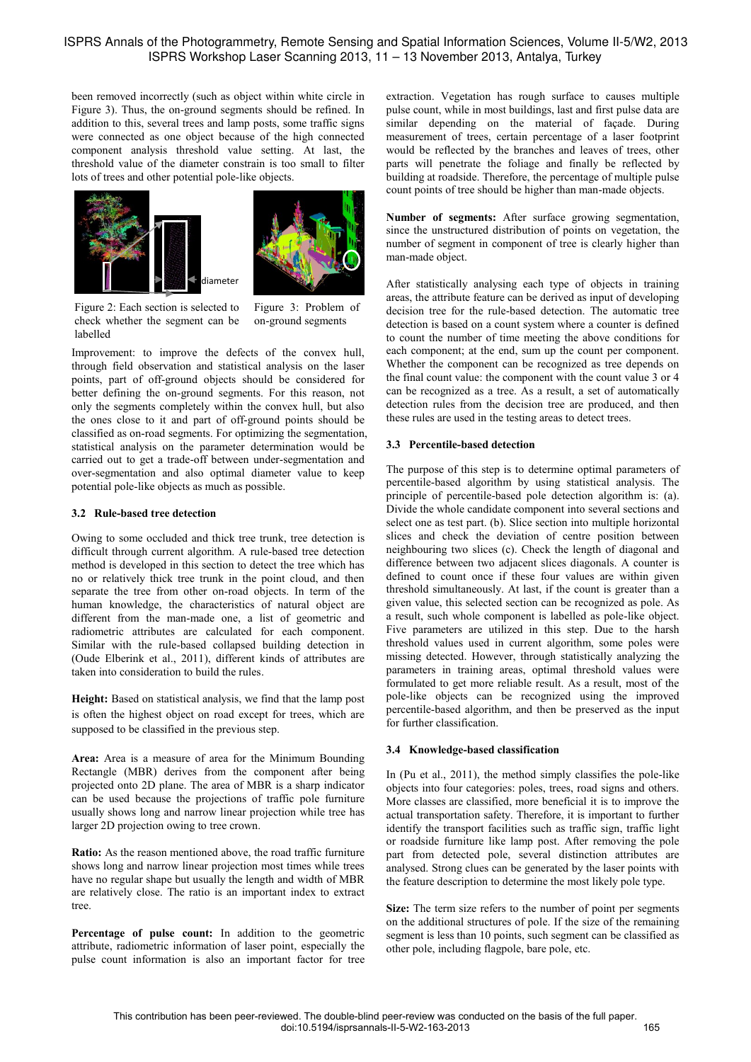been removed incorrectly (such as object within white circle in Figure 3). Thus, the on-ground segments should be refined. In addition to this, several trees and lamp posts, some traffic signs were connected as one object because of the high connected component analysis threshold value setting. At last, the threshold value of the diameter constrain is too small to filter lots of trees and other potential pole-like objects.





Figure 2: Each section is selected to check whether the segment can be labelled

Figure 3: Problem of on-ground segments

Improvement: to improve the defects of the convex hull, through field observation and statistical analysis on the laser points, part of off-ground objects should be considered for better defining the on-ground segments. For this reason, not only the segments completely within the convex hull, but also the ones close to it and part of off-ground points should be classified as on-road segments. For optimizing the segmentation, statistical analysis on the parameter determination would be carried out to get a trade-off between under-segmentation and over-segmentation and also optimal diameter value to keep potential pole-like objects as much as possible.

### **3.2 Rule-based tree detection**

Owing to some occluded and thick tree trunk, tree detection is difficult through current algorithm. A rule-based tree detection method is developed in this section to detect the tree which has no or relatively thick tree trunk in the point cloud, and then separate the tree from other on-road objects. In term of the human knowledge, the characteristics of natural object are different from the man-made one, a list of geometric and radiometric attributes are calculated for each component. Similar with the rule-based collapsed building detection in (Oude Elberink et al., 2011), different kinds of attributes are taken into consideration to build the rules.

**Height:** Based on statistical analysis, we find that the lamp post is often the highest object on road except for trees, which are supposed to be classified in the previous step.

**Area:** Area is a measure of area for the Minimum Bounding Rectangle (MBR) derives from the component after being projected onto 2D plane. The area of MBR is a sharp indicator can be used because the projections of traffic pole furniture usually shows long and narrow linear projection while tree has larger 2D projection owing to tree crown.

**Ratio:** As the reason mentioned above, the road traffic furniture shows long and narrow linear projection most times while trees have no regular shape but usually the length and width of MBR are relatively close. The ratio is an important index to extract tree.

**Percentage of pulse count:** In addition to the geometric attribute, radiometric information of laser point, especially the pulse count information is also an important factor for tree extraction. Vegetation has rough surface to causes multiple pulse count, while in most buildings, last and first pulse data are similar depending on the material of façade. During measurement of trees, certain percentage of a laser footprint would be reflected by the branches and leaves of trees, other parts will penetrate the foliage and finally be reflected by building at roadside. Therefore, the percentage of multiple pulse count points of tree should be higher than man-made objects.

**Number of segments:** After surface growing segmentation, since the unstructured distribution of points on vegetation, the number of segment in component of tree is clearly higher than man-made object.

After statistically analysing each type of objects in training areas, the attribute feature can be derived as input of developing decision tree for the rule-based detection. The automatic tree detection is based on a count system where a counter is defined to count the number of time meeting the above conditions for each component; at the end, sum up the count per component. Whether the component can be recognized as tree depends on the final count value: the component with the count value 3 or 4 can be recognized as a tree. As a result, a set of automatically detection rules from the decision tree are produced, and then these rules are used in the testing areas to detect trees.

# **3.3 Percentile-based detection**

The purpose of this step is to determine optimal parameters of percentile-based algorithm by using statistical analysis. The principle of percentile-based pole detection algorithm is: (a). Divide the whole candidate component into several sections and select one as test part. (b). Slice section into multiple horizontal slices and check the deviation of centre position between neighbouring two slices (c). Check the length of diagonal and difference between two adjacent slices diagonals. A counter is defined to count once if these four values are within given threshold simultaneously. At last, if the count is greater than a given value, this selected section can be recognized as pole. As a result, such whole component is labelled as pole-like object. Five parameters are utilized in this step. Due to the harsh threshold values used in current algorithm, some poles were missing detected. However, through statistically analyzing the parameters in training areas, optimal threshold values were formulated to get more reliable result. As a result, most of the pole-like objects can be recognized using the improved percentile-based algorithm, and then be preserved as the input for further classification.

# **3.4 Knowledge-based classification**

In (Pu et al., 2011), the method simply classifies the pole-like objects into four categories: poles, trees, road signs and others. More classes are classified, more beneficial it is to improve the actual transportation safety. Therefore, it is important to further identify the transport facilities such as traffic sign, traffic light or roadside furniture like lamp post. After removing the pole part from detected pole, several distinction attributes are analysed. Strong clues can be generated by the laser points with the feature description to determine the most likely pole type.

**Size:** The term size refers to the number of point per segments on the additional structures of pole. If the size of the remaining segment is less than 10 points, such segment can be classified as other pole, including flagpole, bare pole, etc.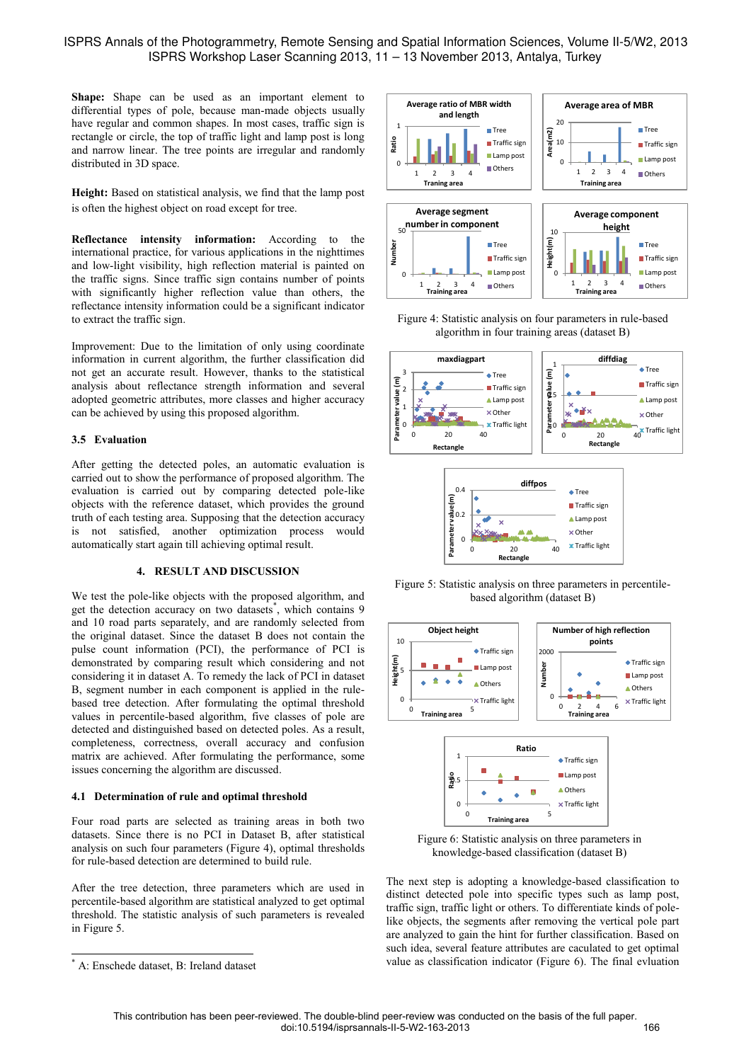# ISPRS Annals of the Photogrammetry, Remote Sensing and Spatial Information Sciences, Volume II-5/W2, 2013 ISPRS Workshop Laser Scanning 2013, 11 – 13 November 2013, Antalya, Turkey

**Shape:** Shape can be used as an important element to differential types of pole, because man-made objects usually have regular and common shapes. In most cases, traffic sign is rectangle or circle, the top of traffic light and lamp post is long and narrow linear. The tree points are irregular and randomly distributed in 3D space.

**Height:** Based on statistical analysis, we find that the lamp post is often the highest object on road except for tree.

**Reflectance intensity information:** According to the international practice, for various applications in the nighttimes and low-light visibility, high reflection material is painted on the traffic signs. Since traffic sign contains number of points with significantly higher reflection value than others, the reflectance intensity information could be a significant indicator to extract the traffic sign.

Improvement: Due to the limitation of only using coordinate information in current algorithm, the further classification did not get an accurate result. However, thanks to the statistical analysis about reflectance strength information and several adopted geometric attributes, more classes and higher accuracy can be achieved by using this proposed algorithm.

### **3.5 Evaluation**

After getting the detected poles, an automatic evaluation is carried out to show the performance of proposed algorithm. The evaluation is carried out by comparing detected pole-like objects with the reference dataset, which provides the ground truth of each testing area. Supposing that the detection accuracy is not satisfied, another optimization process would automatically start again till achieving optimal result.

### **4. RESULT AND DISCUSSION**

We test the pole-like objects with the proposed algorithm, and get the detection accuracy on two datasets\* , which contains 9 and 10 road parts separately, and are randomly selected from the original dataset. Since the dataset B does not contain the pulse count information (PCI), the performance of PCI is demonstrated by comparing result which considering and not considering it in dataset A. To remedy the lack of PCI in dataset B, segment number in each component is applied in the rulebased tree detection. After formulating the optimal threshold values in percentile-based algorithm, five classes of pole are detected and distinguished based on detected poles. As a result, completeness, correctness, overall accuracy and confusion matrix are achieved. After formulating the performance, some issues concerning the algorithm are discussed.

#### **4.1 Determination of rule and optimal threshold**

Four road parts are selected as training areas in both two datasets. Since there is no PCI in Dataset B, after statistical analysis on such four parameters (Figure 4), optimal thresholds for rule-based detection are determined to build rule.

After the tree detection, three parameters which are used in percentile-based algorithm are statistical analyzed to get optimal threshold. The statistic analysis of such parameters is revealed in Figure 5.

 $\overline{a}$ 



Figure 4: Statistic analysis on four parameters in rule-based algorithm in four training areas (dataset B)



Figure 5: Statistic analysis on three parameters in percentilebased algorithm (dataset B)

0 20 40

**Rectangle**



Figure 6: Statistic analysis on three parameters in knowledge-based classification (dataset B)

The next step is adopting a knowledge-based classification to distinct detected pole into specific types such as lamp post, traffic sign, traffic light or others. To differentiate kinds of polelike objects, the segments after removing the vertical pole part are analyzed to gain the hint for further classification. Based on such idea, several feature attributes are caculated to get optimal value as classification indicator (Figure 6). The final evluation

<sup>\*</sup> A: Enschede dataset, B: Ireland dataset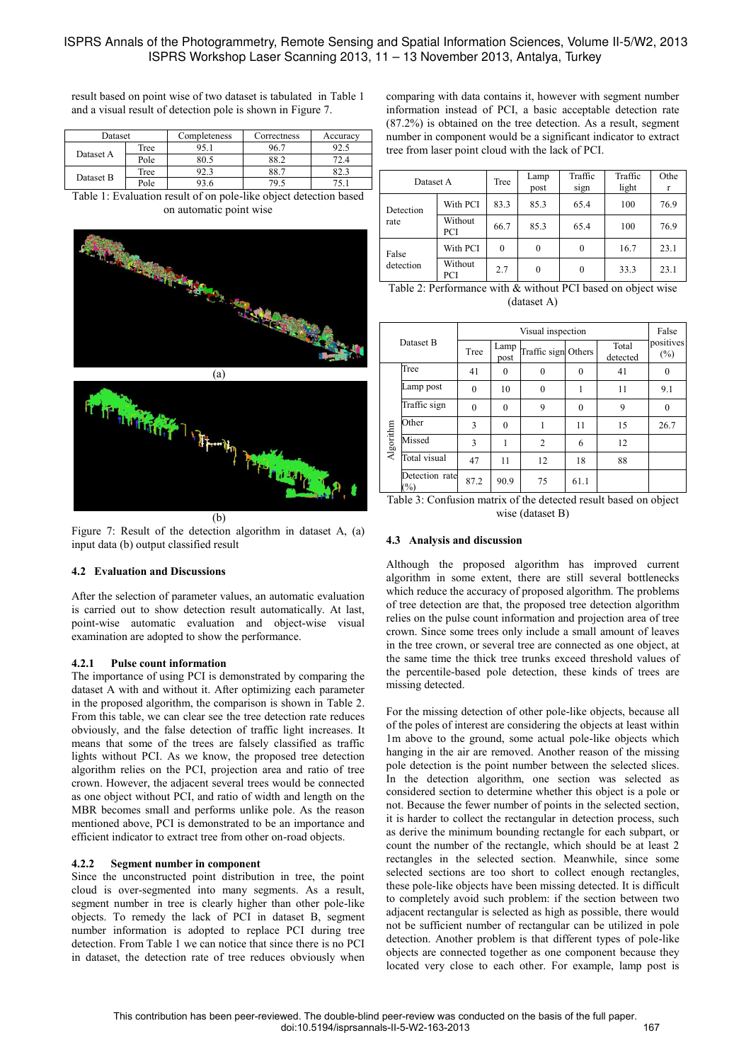result based on point wise of two dataset is tabulated in Table 1 and a visual result of detection pole is shown in Figure 7.

| Dataset   |      | Completeness | Correctness | Accuracy |  |
|-----------|------|--------------|-------------|----------|--|
| Dataset A | Tree |              | 96.7        | ソム・ニ     |  |
|           | Pole | 80.5         | 88.2        | 72.4     |  |
|           | Tree | 92.3         | 88.7        | 82.3     |  |
| Dataset B | Pole | 93.6         | 79.5        |          |  |

Table 1: Evaluation result of on pole-like object detection based on automatic point wise



Figure 7: Result of the detection algorithm in dataset A, (a) input data (b) output classified result

# **4.2 Evaluation and Discussions**

After the selection of parameter values, an automatic evaluation is carried out to show detection result automatically. At last, point-wise automatic evaluation and object-wise visual examination are adopted to show the performance.

### **4.2.1 Pulse count information**

The importance of using PCI is demonstrated by comparing the dataset A with and without it. After optimizing each parameter in the proposed algorithm, the comparison is shown in Table 2. From this table, we can clear see the tree detection rate reduces obviously, and the false detection of traffic light increases. It means that some of the trees are falsely classified as traffic lights without PCI. As we know, the proposed tree detection algorithm relies on the PCI, projection area and ratio of tree crown. However, the adjacent several trees would be connected as one object without PCI, and ratio of width and length on the MBR becomes small and performs unlike pole. As the reason mentioned above, PCI is demonstrated to be an importance and efficient indicator to extract tree from other on-road objects.

# **4.2.2 Segment number in component**

Since the unconstructed point distribution in tree, the point cloud is over-segmented into many segments. As a result, segment number in tree is clearly higher than other pole-like objects. To remedy the lack of PCI in dataset B, segment number information is adopted to replace PCI during tree detection. From Table 1 we can notice that since there is no PCI in dataset, the detection rate of tree reduces obviously when

comparing with data contains it, however with segment number information instead of PCI, a basic acceptable detection rate (87.2%) is obtained on the tree detection. As a result, segment number in component would be a significant indicator to extract tree from laser point cloud with the lack of PCI.

| Dataset A          |                | Tree     | Lamp<br>post | Traffic<br>sign | Traffic<br>light | Othe<br>r |
|--------------------|----------------|----------|--------------|-----------------|------------------|-----------|
| Detection<br>rate  | With PCI       | 83.3     | 85.3         | 65.4            | 100              | 76.9      |
|                    | Without<br>PCI | 66.7     | 85.3         | 65.4            | 100              | 76.9      |
| False<br>detection | With PCI       | $\theta$ | $\theta$     | $\theta$        | 16.7             | 23.1      |
|                    | Without<br>PCI | 2.7      | $\theta$     | $\theta$        | 33.3             | 23.1      |

| Table 2: Performance with & without PCI based on object wise |
|--------------------------------------------------------------|
| (dataset A)                                                  |

| Dataset B |                                 | Visual inspection |              |                     |          |                   | False               |
|-----------|---------------------------------|-------------------|--------------|---------------------|----------|-------------------|---------------------|
|           |                                 | Tree              | Lamp<br>post | Traffic sign Others |          | Total<br>detected | positives<br>$(\%)$ |
| Algorithm | Tree                            | 41                | $\theta$     | $\theta$            | $\theta$ | 41                | $\theta$            |
|           | Lamp post                       | $\theta$          | 10           | $\theta$            |          | 11                | 9.1                 |
|           | Traffic sign                    | $\theta$          | $\theta$     | 9                   | $\theta$ | 9                 | $\theta$            |
|           | Other                           | 3                 | $\mathbf{0}$ |                     | 11       | 15                | 26.7                |
|           | Missed                          | 3                 | 1            | $\overline{c}$      | 6        | 12                |                     |
|           | Total visual                    | 47                | 11           | 12                  | 18       | 88                |                     |
|           | Detection rate<br>$\frac{1}{2}$ | 87.2              | 90.9         | 75                  | 61.1     |                   |                     |

Table 3: Confusion matrix of the detected result based on object wise (dataset B)

### **4.3 Analysis and discussion**

Although the proposed algorithm has improved current algorithm in some extent, there are still several bottlenecks which reduce the accuracy of proposed algorithm. The problems of tree detection are that, the proposed tree detection algorithm relies on the pulse count information and projection area of tree crown. Since some trees only include a small amount of leaves in the tree crown, or several tree are connected as one object, at the same time the thick tree trunks exceed threshold values of the percentile-based pole detection, these kinds of trees are missing detected.

For the missing detection of other pole-like objects, because all of the poles of interest are considering the objects at least within 1m above to the ground, some actual pole-like objects which hanging in the air are removed. Another reason of the missing pole detection is the point number between the selected slices. In the detection algorithm, one section was selected as considered section to determine whether this object is a pole or not. Because the fewer number of points in the selected section, it is harder to collect the rectangular in detection process, such as derive the minimum bounding rectangle for each subpart, or count the number of the rectangle, which should be at least 2 rectangles in the selected section. Meanwhile, since some selected sections are too short to collect enough rectangles, these pole-like objects have been missing detected. It is difficult to completely avoid such problem: if the section between two adjacent rectangular is selected as high as possible, there would not be sufficient number of rectangular can be utilized in pole detection. Another problem is that different types of pole-like objects are connected together as one component because they located very close to each other. For example, lamp post is